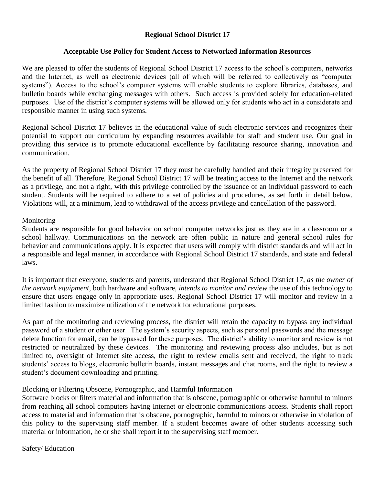## **Regional School District 17**

## **Acceptable Use Policy for Student Access to Networked Information Resources**

We are pleased to offer the students of Regional School District 17 access to the school's computers, networks and the Internet, as well as electronic devices (all of which will be referred to collectively as "computer systems"). Access to the school's computer systems will enable students to explore libraries, databases, and bulletin boards while exchanging messages with others. Such access is provided solely for education-related purposes. Use of the district's computer systems will be allowed only for students who act in a considerate and responsible manner in using such systems.

Regional School District 17 believes in the educational value of such electronic services and recognizes their potential to support our curriculum by expanding resources available for staff and student use. Our goal in providing this service is to promote educational excellence by facilitating resource sharing, innovation and communication.

As the property of Regional School District 17 they must be carefully handled and their integrity preserved for the benefit of all. Therefore, Regional School District 17 will be treating access to the Internet and the network as a privilege, and not a right, with this privilege controlled by the issuance of an individual password to each student. Students will be required to adhere to a set of policies and procedures, as set forth in detail below. Violations will, at a minimum, lead to withdrawal of the access privilege and cancellation of the password.

## **Monitoring**

Students are responsible for good behavior on school computer networks just as they are in a classroom or a school hallway. Communications on the network are often public in nature and general school rules for behavior and communications apply. It is expected that users will comply with district standards and will act in a responsible and legal manner, in accordance with Regional School District 17 standards, and state and federal laws.

It is important that everyone, students and parents, understand that Regional School District 17, *as the owner of the network equipment,* both hardware and software, *intends to monitor and review* the use of this technology to ensure that users engage only in appropriate uses. Regional School District 17 will monitor and review in a limited fashion to maximize utilization of the network for educational purposes.

As part of the monitoring and reviewing process, the district will retain the capacity to bypass any individual password of a student or other user. The system's security aspects, such as personal passwords and the message delete function for email, can be bypassed for these purposes. The district's ability to monitor and review is not restricted or neutralized by these devices. The monitoring and reviewing process also includes, but is not limited to, oversight of Internet site access, the right to review emails sent and received, the right to track students' access to blogs, electronic bulletin boards, instant messages and chat rooms, and the right to review a student's document downloading and printing.

## Blocking or Filtering Obscene, Pornographic, and Harmful Information

Software blocks or filters material and information that is obscene, pornographic or otherwise harmful to minors from reaching all school computers having Internet or electronic communications access. Students shall report access to material and information that is obscene, pornographic, harmful to minors or otherwise in violation of this policy to the supervising staff member. If a student becomes aware of other students accessing such material or information, he or she shall report it to the supervising staff member.

Safety/ Education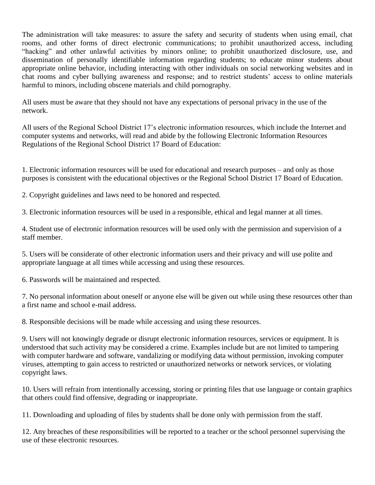The administration will take measures: to assure the safety and security of students when using email, chat rooms, and other forms of direct electronic communications; to prohibit unauthorized access, including "hacking" and other unlawful activities by minors online; to prohibit unauthorized disclosure, use, and dissemination of personally identifiable information regarding students; to educate minor students about appropriate online behavior, including interacting with other individuals on social networking websites and in chat rooms and cyber bullying awareness and response; and to restrict students' access to online materials harmful to minors, including obscene materials and child pornography.

All users must be aware that they should not have any expectations of personal privacy in the use of the network.

All users of the Regional School District 17's electronic information resources, which include the Internet and computer systems and networks, will read and abide by the following Electronic Information Resources Regulations of the Regional School District 17 Board of Education:

1. Electronic information resources will be used for educational and research purposes – and only as those purposes is consistent with the educational objectives or the Regional School District 17 Board of Education.

2. Copyright guidelines and laws need to be honored and respected.

3. Electronic information resources will be used in a responsible, ethical and legal manner at all times.

4. Student use of electronic information resources will be used only with the permission and supervision of a staff member.

5. Users will be considerate of other electronic information users and their privacy and will use polite and appropriate language at all times while accessing and using these resources.

6. Passwords will be maintained and respected.

7. No personal information about oneself or anyone else will be given out while using these resources other than a first name and school e-mail address.

8. Responsible decisions will be made while accessing and using these resources.

9. Users will not knowingly degrade or disrupt electronic information resources, services or equipment. It is understood that such activity may be considered a crime. Examples include but are not limited to tampering with computer hardware and software, vandalizing or modifying data without permission, invoking computer viruses, attempting to gain access to restricted or unauthorized networks or network services, or violating copyright laws.

10. Users will refrain from intentionally accessing, storing or printing files that use language or contain graphics that others could find offensive, degrading or inappropriate.

11. Downloading and uploading of files by students shall be done only with permission from the staff.

12. Any breaches of these responsibilities will be reported to a teacher or the school personnel supervising the use of these electronic resources.